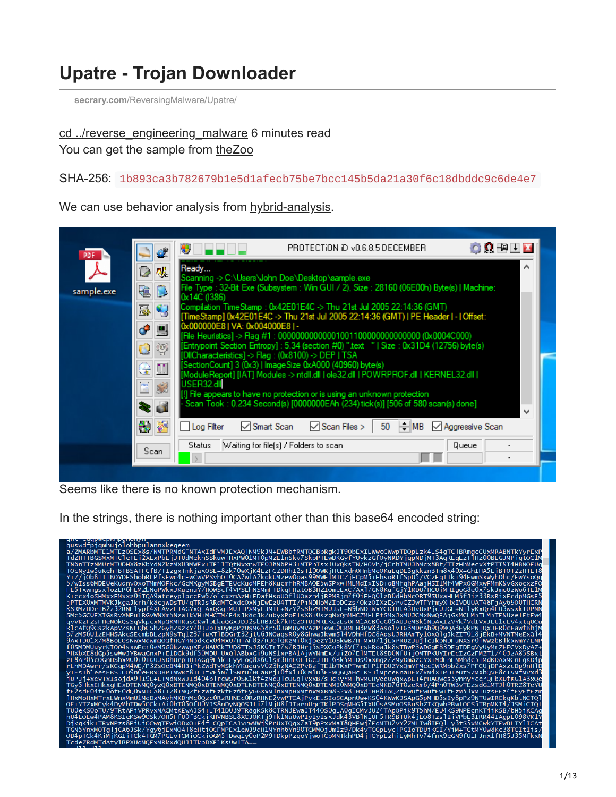# **Upatre - Trojan Downloader**

**secrary.com**[/ReversingMalware/Upatre/](https://secrary.com/ReversingMalware/Upatre/)

#### [cd ../reverse\\_engineering\\_malware](https://secrary.com/ReversingMalware) 6 minutes read You can get the sample from [theZoo](https://github.com/ytisf/theZoo/tree/master/malwares/Binaries/Waski.Upatre)

#### SHA-256: 1b893ca3b782679b1e5d1afecb75be7bcc145b5da21a30f6c18dbddc9c6de4e7

We can use behavior analysis from [hybrid-analysis.](https://www.hybrid-analysis.com/sample/1b893ca3b782679b1e5d1afecb75be7bcc145b5da21a30f6c18dbddc9c6de4e7?environmentId=100)

|            |                        | PROTECTION ID VO.6.8.5 DECEMBER                                                                                                                                |  |  |  |  |  |  |
|------------|------------------------|----------------------------------------------------------------------------------------------------------------------------------------------------------------|--|--|--|--|--|--|
| PDF        | ₩.                     | ORFALL                                                                                                                                                         |  |  |  |  |  |  |
|            | 观<br>D                 | Ready<br>Scanning -> C:\Users\John Doe\Desktop\sample.exe                                                                                                      |  |  |  |  |  |  |
| sample.exe | ß.<br>G.               | File Type : 32-Bit Exe (Subsystem : Win GUI / 2), Size : 28160 (06E00h) Byte(s)   Machine:<br>0x14C (1386)                                                     |  |  |  |  |  |  |
|            | Q<br>飝                 | Compilation TimeStamp : 0x42E01E4C -> Thu 21st Jul 2005 22:14:36 (GMT)<br>[TimeStamp] 0x42E01E4C -> Thu 21st Jul 2005 22:14:36 (GMT)   PE Header   -   Offset: |  |  |  |  |  |  |
|            | مي.<br>믜               | 0x000000E8   VA: 0x004000E8   -<br>[File Heuristics] -> Flag #1: 0000000000000010011000000000000000 (0x0004C000)                                               |  |  |  |  |  |  |
|            | Ģ<br>Ġ.                | [Entrypoint Section Entropy] : 5.34 (section #0) ".text "   Size : 0x31D4 (12756) byte(s)<br>[DllCharacteristics] -> Flag : (0x8100) -> DEP   TSA              |  |  |  |  |  |  |
|            | Ω.<br>옿                | [SectionCount] 3 (0x3)   ImageSize 0xA000 (40960) byte(s)<br>ModuleReport] [IAT] Modules -> ntdll.dll   ole32.dll   POWRPROF.dll   KERNEL32.dll                |  |  |  |  |  |  |
|            | $\overline{\text{Pb}}$ | USER32.dll<br>[1] File appears to have no protection or is using an unknown protection                                                                         |  |  |  |  |  |  |
|            | ď                      | Scan Took: 0.234 Second(s) [0000000EAh (234) tick(s)] [506 of 580 scan(s) done]                                                                                |  |  |  |  |  |  |
|            | 거리                     | $\div$ MB<br>$\sqrt{\ }$ Scan Files ><br>$\sqrt{\ }$ Smart Scan<br>50<br>Log Filter<br>$\vee$ Aggressive Scan                                                  |  |  |  |  |  |  |
|            | Scan                   | Waiting for file[s] / Folders to scan-<br>Queue<br>Status                                                                                                      |  |  |  |  |  |  |
|            |                        |                                                                                                                                                                |  |  |  |  |  |  |

Seems like there is no known protection mechanism.

In the strings, there is nothing important other than this base64 encoded string:

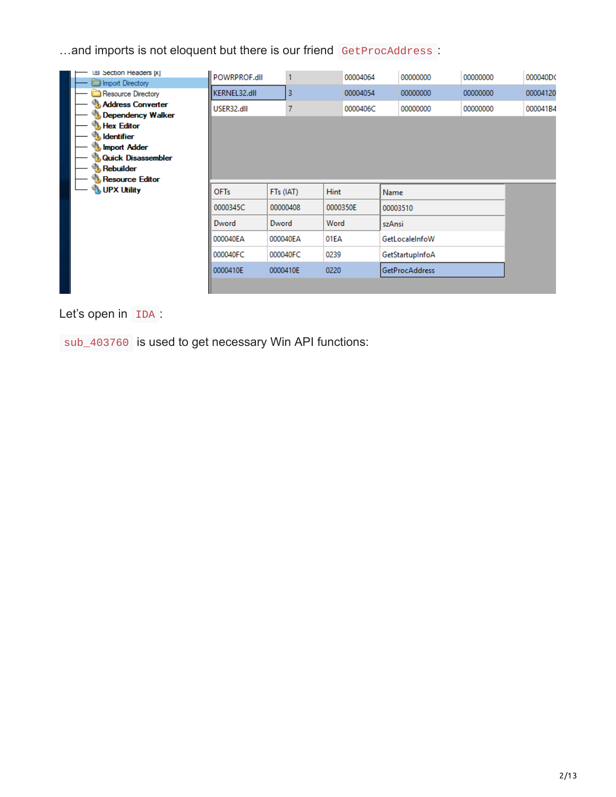...and imports is not eloquent but there is our friend GetProcAddress :

| Section Headers [x]                              | POWRPROF.dll     |           |   |             | 00004064 |          | 00000000              | 00000000 | 000040DC |
|--------------------------------------------------|------------------|-----------|---|-------------|----------|----------|-----------------------|----------|----------|
| Import Directory<br>Resource Directory           | KERNEL32.dll     |           | 3 |             | 00004054 |          | 00000000              | 00000000 | 00004120 |
| <b>Address Converter</b><br>Dependency Walker    | USER32.dll       |           |   |             | 0000406C |          | 00000000              | 00000000 | 000041B4 |
| <b>Hex Editor</b><br><b>Julie Hentifier</b>      |                  |           |   |             |          |          |                       |          |          |
| <b>Import Adder</b><br><b>Quick Disassembler</b> |                  |           |   |             |          |          |                       |          |          |
| <b>Rebuilder</b><br><b>Resource Editor</b>       |                  |           |   |             |          |          |                       |          |          |
| <b>UPX Utility</b>                               | OF <sub>Ts</sub> | FTs (IAT) |   | <b>Hint</b> |          | Name     |                       |          |          |
|                                                  | 0000345C         | 00000408  |   | 0000350E    |          | 00003510 |                       |          |          |
|                                                  | Dword            | Dword     |   | Word        |          | szAnsi   |                       |          |          |
|                                                  | 000040EA         | 000040EA  |   | 01EA        |          |          | GetLocaleInfoW        |          |          |
|                                                  | 000040FC         | 000040FC  |   | 0239        |          |          | GetStartupInfoA       |          |          |
|                                                  | 0000410E         | 0000410E  |   | 0220        |          |          | <b>GetProcAddress</b> |          |          |
|                                                  |                  |           |   |             |          |          |                       |          |          |

### Let's open in IDA :

sub\_403760 is used to get necessary Win API functions: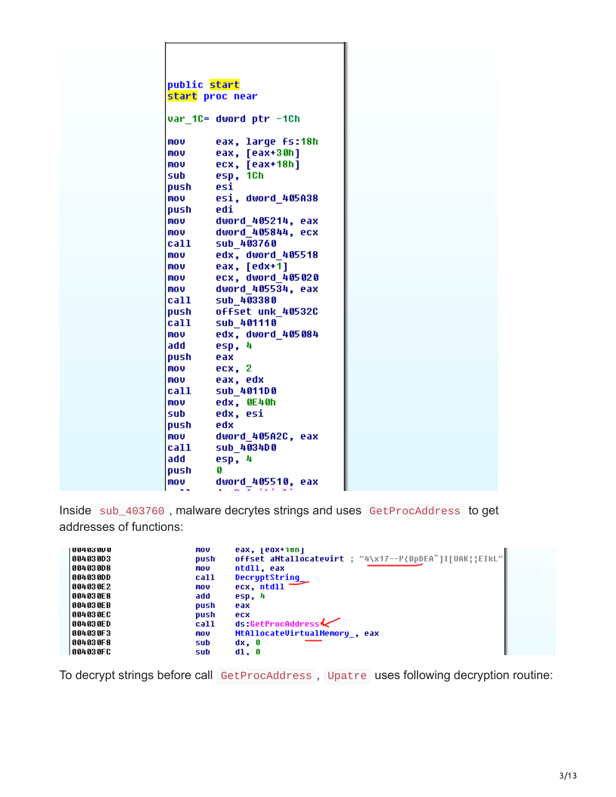|        | public start           |  |
|--------|------------------------|--|
|        | start proc near        |  |
|        |                        |  |
|        | var 1C= dword ptr -1Ch |  |
| mov    | eax, large fs:18h      |  |
| mov    | eax, [eax+30h]         |  |
| mov    | ecx, [eax+18h]         |  |
| sub    | esp, 1Ch               |  |
| push   | esi                    |  |
| mov    | esi, dword 405A38      |  |
| push   | edi                    |  |
| mov    | dword 405214, eax      |  |
| mov    | dword 405844, ecx      |  |
| call – | sub 403760             |  |
| mov    | edx, dword 405518      |  |
| mov    | eax, [edx+1]           |  |
| mov    | ecx, dword 405020      |  |
| mov    | dword 405534, eax      |  |
| call   | sub 403380             |  |
| push   | offset unk 40532C      |  |
| call   | sub 401110             |  |
| mov    | edx, dword 405084      |  |
| add    | esp, 4                 |  |
| push   | eax                    |  |
| mov    | ecx, 2                 |  |
| mov    | eax, edx               |  |
| call   | sub 4011D0             |  |
| mov    | edx, OE40h             |  |
| sub    | edx, esi               |  |
| push   | edx                    |  |
| mov    | dword 405A2C, eax      |  |
| call   | sub 403400             |  |
| add    | esp, 4                 |  |
| push   | G                      |  |
| mov    | dword 405510, eax      |  |
| a a    | $\mathbf{r}$           |  |

Inside sub\_403760 , malware decrytes strings and uses GetProcAddress to get addresses of functions:

| UU4 U3 UV U | mov  | eax, leox+ioni                                         |
|-------------|------|--------------------------------------------------------|
| 004030D3    | push | offset aNtallocatevirt ; "4\x17--P{BpDEA^]I[UAK  EIkL" |
| 004030D8    | mov  | ntdll, eax                                             |
| 004030DD    | call | DecryptString                                          |
| 004030E 2   | mov  | ecx, ntdll                                             |
| 004030E8    | add  | $e$ sp, 4                                              |
| 004030EB    | push | eax                                                    |
| 004030EC    | push | ecx                                                    |
| 004030ED    | call | ds:GetProcAddress                                      |
| 004030F3    | mov  | NtAllocateVirtualMemoru, eax                           |
| 004030F8    | sub  | dx, 0                                                  |
| 00403 OF C  | sub  | d1.0                                                   |

To decrypt strings before call GetProcAddress , Upatre uses following decryption routine: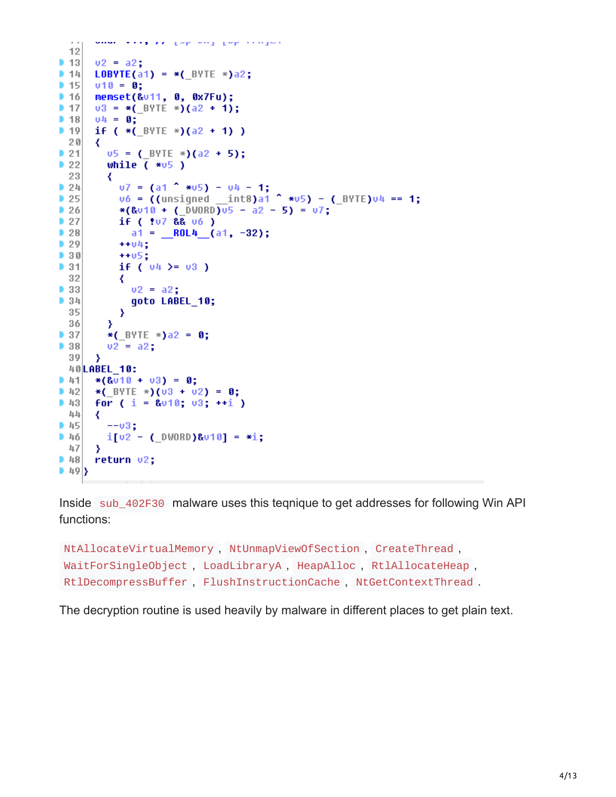```
where we say are given which goes compare
 129<sub>13</sub>v2 = a2:
914LOBYTE(a1) = *( BYTE *)a2;
9.15v10 = 0;
9.16memset(&u11, 0, 0x7Fu);
91703 = *(BYTE *)(a2 + 1);
91804 = 0:9.19if (*( BYTE *)(a2 + 1))
 20₹
2105 = (BYTE *)(a2 + 5);
22while (*v5)23
        ₹
          07 = (a1 \text{ * } 405) - 04 - 1;24v6 = ((unsigned int8)a1^4 + v5) - (BYTE)v4 == 1;25|26|*(&010 + (DWORD)05 - a2 - 5) = 07;
          if ( tu7 && u6 )
27|28|a1 = \_ ROL4 (a1, -32);
29+ + 04;
930+ + 05;
931if ( 04 > = 03 )
 32
          ₹
\triangleright 33
            v2 = a2:
934goto LABEL 10;
 35₹
 36
        <sup>3</sup>
937*( BYTE *)a2 = 0;
38v2 = a2;39
      ₹
 40 LABEL 10:
941*(8010 + 03) = 0;*(BYTE *)(03 + 02) = 0;
942for (i = 8010; 03; ++i)94344
      ₹
        --03;14546i[02 - (\_0 \text{WORD})8010] = *i;47
      Y
48return v2;
|49\rangle
```
Inside sub\_402F30 malware uses this teqnique to get addresses for following Win API functions:

```
NtAllocateVirtualMemory , NtUnmapViewOfSection , CreateThread ,
WaitForSingleObject , LoadLibraryA , HeapAlloc , RtlAllocateHeap ,
RtlDecompressBuffer , FlushInstructionCache , NtGetContextThread .
```
The decryption routine is used heavily by malware in different places to get plain text.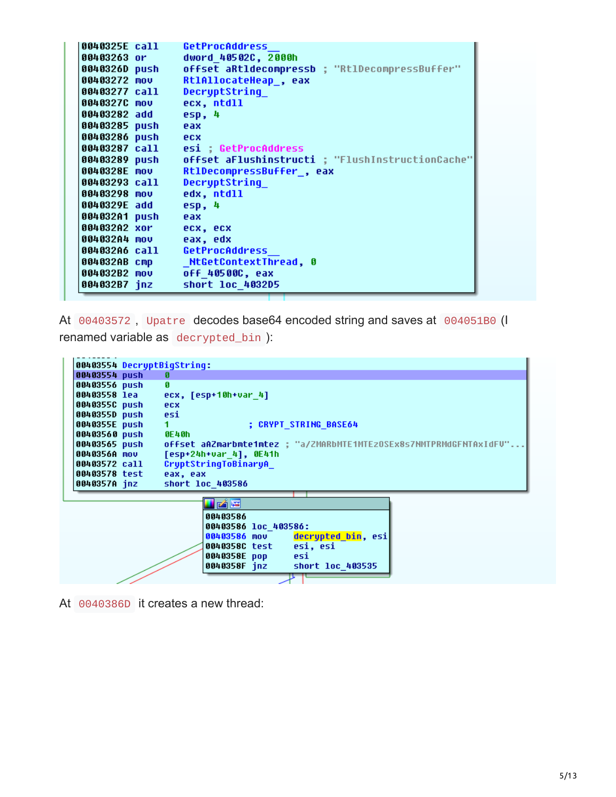| 0040325E call <b>100</b> | <b>GetProcAddress</b>                          |
|--------------------------|------------------------------------------------|
| 00403263 or              | dword 40502C, 2000h                            |
| 0040326D push            | offset aRtldecompressb ; "RtlDecompressBuffer" |
| 00403272 mov             | Rt1AllocateHeap , eax                          |
| 00403277 call            | <b>DecryptString</b>                           |
| 0040327C mov             | ecx, ntdll                                     |
| 00403282 add             | esp, 4                                         |
| 00403285 push            | eax                                            |
| 00403286 push ecx        |                                                |
|                          | 00403287 call    esi ; GetProcAddress          |
|                          |                                                |
| 0040328E mov             | RtlDecompressBuffer, eax                       |
| 00403293 call            | DecryptString                                  |
| 00403298 mov             | edx, ntdll                                     |
| 0040329E add             | esp, 4                                         |
| 004032A1 push            | eax                                            |
| 004032A2 xor ecx, ecx    |                                                |
| 004032A4 mov             | eax, edx                                       |
|                          | 004032A6 call GetProcAddress                   |
| 004032AB cmp             | NtGetContextThread, 0                          |
| 004032B2 mov             | off 40500C, eax                                |
| 004032B7 jnz             | short loc 4032D5                               |

At 00403572 , Upatre decodes base64 encoded string and saves at 004051B0 (I renamed variable as decrypted\_bin ):

|  | Ø                                                                                                                                                                                                                                   |
|--|-------------------------------------------------------------------------------------------------------------------------------------------------------------------------------------------------------------------------------------|
|  | п                                                                                                                                                                                                                                   |
|  | $ecx, [esp+10h+var 4]$                                                                                                                                                                                                              |
|  | ecx                                                                                                                                                                                                                                 |
|  | esi                                                                                                                                                                                                                                 |
|  | <b>: CRYPT STRING BASE64</b><br>1.                                                                                                                                                                                                  |
|  | 0E40h                                                                                                                                                                                                                               |
|  | offset aAZmarbmte1mtez : "a/ZMARbMTE1MTEzOSEx8s7NMTPRMdGFNTAxIdFU"                                                                                                                                                                  |
|  | $[esp+24h+var 4], 0E41h$                                                                                                                                                                                                            |
|  | CryptStringToBinaryA                                                                                                                                                                                                                |
|  | eax, eax                                                                                                                                                                                                                            |
|  | short loc 403586                                                                                                                                                                                                                    |
|  | IZK<br>00403586<br>00403586 loc 403586:<br>decrypted bin, esi<br>00403586 mov<br>esi, esi<br>0040358C test<br>0040358E pop<br>esi<br>0040358F jnz<br>short loc 403535                                                               |
|  | 00403554 DecryptBigString:<br>00403554 push<br>00403556 push<br>00403558 lea<br>0040355C push<br>0040355D push<br>0040355E push<br>00403560 push<br>00403565 push<br>0040356A mov<br>00403572 call<br>00403578 test<br>0040357A inz |

At 0040386D it creates a new thread: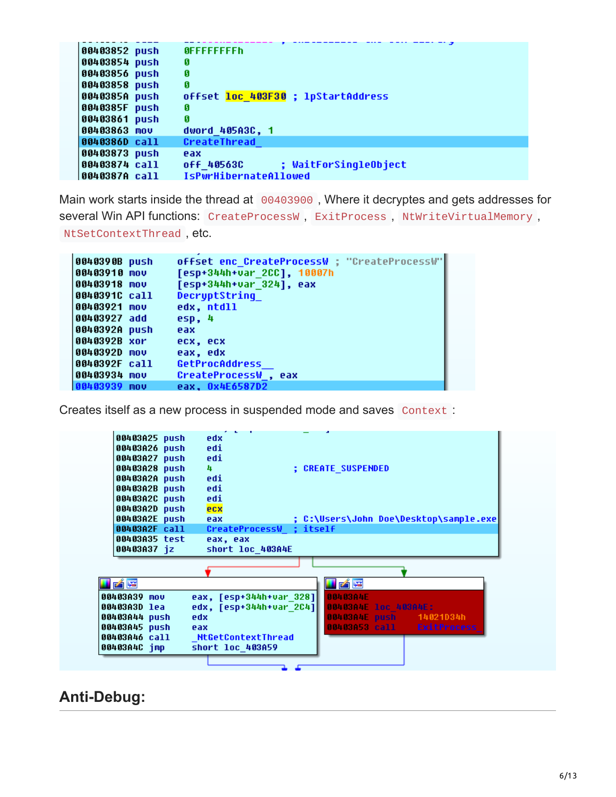| 00403852 push | <b>OFFFFFFFFFh</b>                  |
|---------------|-------------------------------------|
| 00403854 push | Ø                                   |
| 00403856 push | Ø                                   |
| 00403858 push | Ø                                   |
| 0040385A push | offset loc 403F30 ; lpStartAddress  |
| 0040385F push | я                                   |
| 00403861 push | Й                                   |
| 00403863 mov  | dword 405A3C, 1                     |
| 0040386D call | CreateThread                        |
| 00403873 push | eax                                 |
| 00403874 call | ; WaitForSingleObject<br>off 40563C |
| 0040387A call | <b>IsPwrHibernateAllowed</b>        |

Main work starts inside the thread at 00403900, Where it decryptes and gets addresses for several Win API functions: CreateProcessW, ExitProcess, NtWriteVirtualMemory, NtSetContextThread , etc.

| 0040390B push | offset enc CreateProcessW ; "CreateProcessW" |
|---------------|----------------------------------------------|
| 00403910 mov  | [esp+344h+var 2CC], 10007h                   |
| 00403918 mov  | [esp+344h+var 324], eax                      |
| 0040391C call | DecryptString                                |
| 00403921 mov  | edx, ntdll                                   |
| 00403927 add  | $e$ sp, 4                                    |
| 0040392A push | eax                                          |
| 0040392B xor  | ecx, ecx                                     |
| 0040392D mov  | eax. edx                                     |
| 0040392F call | <b>GetProcAddress</b>                        |
| 00403934 mov  | CreateProcessW , eax                         |
| 00403939 mov  | eax, 0x4E6587D2                              |

Creates itself as a new process in suspended mode and saves Context :



## **Anti-Debug:**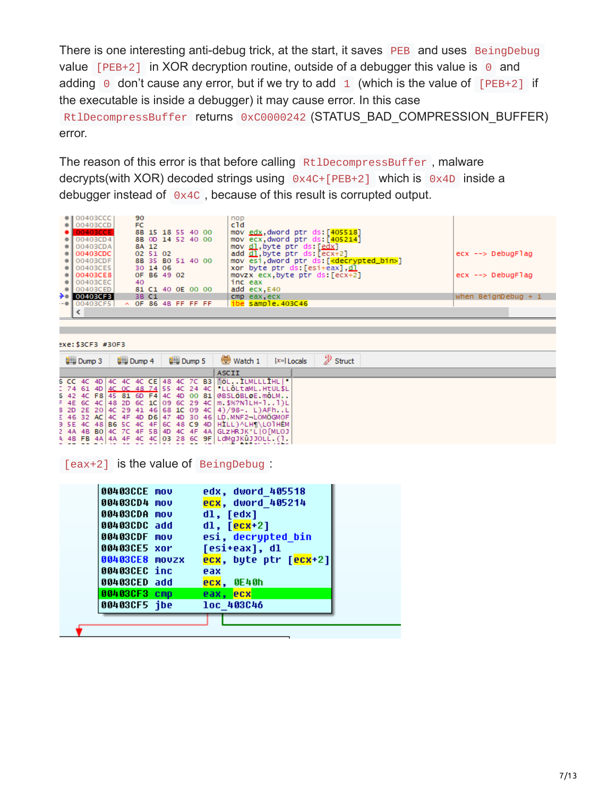There is one interesting anti-debug trick, at the start, it saves PEB and uses BeingDebug value  $[PEB+2]$  in XOR decryption routine, outside of a debugger this value is  $\theta$  and adding  $\theta$  don't cause any error, but if we try to add  $1$  (which is the value of [PEB+2] if the executable is inside a debugger) it may cause error. In this case RtlDecompressBuffer returns 0xC0000242 (STATUS BAD COMPRESSION BUFFER) error.

The reason of this error is that before calling RtlDecompressBuffer, malware decrypts(with XOR) decoded strings using 0x4C+[PEB+2] which is 0x4D inside a debugger instead of 0x4C , because of this result is corrupted output.

| $\bullet$   00403CCC                       | 90                        |                   |  |  | nop                                                                     |                            |
|--------------------------------------------|---------------------------|-------------------|--|--|-------------------------------------------------------------------------|----------------------------|
| $\bullet$ 00403CCD<br>00403CCE             | <b>FC</b>                 | 8B 15 18 55 40 00 |  |  | c1d.<br>mov edx, dword ptr ds: [405518]                                 |                            |
| $\bullet$ 00403CD4                         |                           | 8B 0D 14 52 40 00 |  |  | mov ecx.dword ptr ds: [405214]                                          |                            |
| $\bullet$ 00403CDA<br>$\bullet$   00403CDC |                           | 8A 12<br>02 51 02 |  |  | mov <u>dl</u> , byte ptr ds: [edx]<br>add dl.byte ptr ds: [ecx+2]       | $ex \rightarrow DebugFlag$ |
| $\bullet$ 00403CDF                         |                           | 8B 35 B0 51 40 00 |  |  | mov esi, dword ptr ds: [ <mark><decrypted_bin></decrypted_bin></mark> ] |                            |
| $\bullet$ 00403CE5                         |                           | 30 14 06          |  |  | xor byte ptr ds: [esi+eax].dl                                           |                            |
| $\bullet$ 00403CE8<br>$\bullet$ 00403CEC   | 40                        | OF B6 49 02       |  |  | movzx $ex, byte$ ptr $ds: [ecx+2]$<br>inc eax                           | $ex \rightarrow DebugFlag$ |
| $\bullet$ 00403CED                         |                           | 81 C1 40 OE 00 00 |  |  | add ecx, E40                                                            |                            |
| $\rightarrow$ 00403CF3<br>$-$ 00403CF5     | $\land$ OF 86 4B FF FF FF | 3B C1             |  |  | cmp eax, ecx<br>ibe sample.403C46                                       | when BeignDebug $+1$       |
|                                            |                           |                   |  |  |                                                                         |                            |
|                                            |                           |                   |  |  |                                                                         |                            |

exe: \$3CF3 #30F3

| $\frac{1}{2}$ Dump 3 |  | $\frac{1}{2}$ Dump 4 |  |  | <b>QHI Dump 5</b> |  | $\mathscr{D}$ Struct<br>Watch 1<br>$[x=]$ Locals |  |  |                                                                                                                                                                                                                                                                                                                                                                                                     |
|----------------------|--|----------------------|--|--|-------------------|--|--------------------------------------------------|--|--|-----------------------------------------------------------------------------------------------------------------------------------------------------------------------------------------------------------------------------------------------------------------------------------------------------------------------------------------------------------------------------------------------------|
|                      |  |                      |  |  |                   |  |                                                  |  |  | <b>ASCII</b>                                                                                                                                                                                                                                                                                                                                                                                        |
|                      |  |                      |  |  |                   |  |                                                  |  |  | 6 CC 4C 4D 4C 4C 4C CE 48 4C 7C B3 'ÖLÌLMLLLÎHL "<br>: 74 61 4D 4C OC 48 74 55 4C 24 4C  LLÔLtaML.HtUL\$L<br>5 42 4C F8 45 81 6D F4 4C 4D 00 81 @BSLÖBLOE.mOLM<br>F 4E 6C 4C 48 2D 6C 1C 09 6C 29 4C   m. \$%?N l H-1 1 ) L<br>8 2D 2E 20 4C 29 41 46 68 1C 09 4C 4 9 / 98 -. L BFhL<br>E 46 32 AC 4C 4F 4D D6 47 4D 30 46 LD. MNF2-LOMOGMOF<br>9 SE 4C 48 B6 SC 4C 4F 6C 48 C9 4D HILL) ALHILOIHEM |
|                      |  |                      |  |  |                   |  |                                                  |  |  | 2 4A 4B BO 4C 7C 4F 5B 4D 4C 4F 4A GLZHRJK°L OFMLOJ<br>A 4B FB 4A 4A 4F 4C 4C 03 28 6C 9F LdMgJKûJJOLL.(1.                                                                                                                                                                                                                                                                                          |

[eax+2] is the value of BeingDebug :

| 00403CCE mov   | edx, dword 405518     |
|----------------|-----------------------|
| 00403CD4 mov   | ecx, dword 405214     |
| 00403CDA mov   | dl, [edx]             |
| 00403CDC add   | $dl, [ecx+2]$         |
| 00403CDF mov   | esi, decrypted bin    |
| 00403CE5 xor   | [esi+eax], dl         |
| 00403CE8 movzx | ecx, byte ptr [ecx+2] |
| 00403CEC inc   | eax                   |
| 00403CED add   | $exc$ , $0E40h$       |
| 00403CF3 cmp   | eax, ecx              |
| 00403CF5 jbe   | loc 403C46            |
|                |                       |
|                |                       |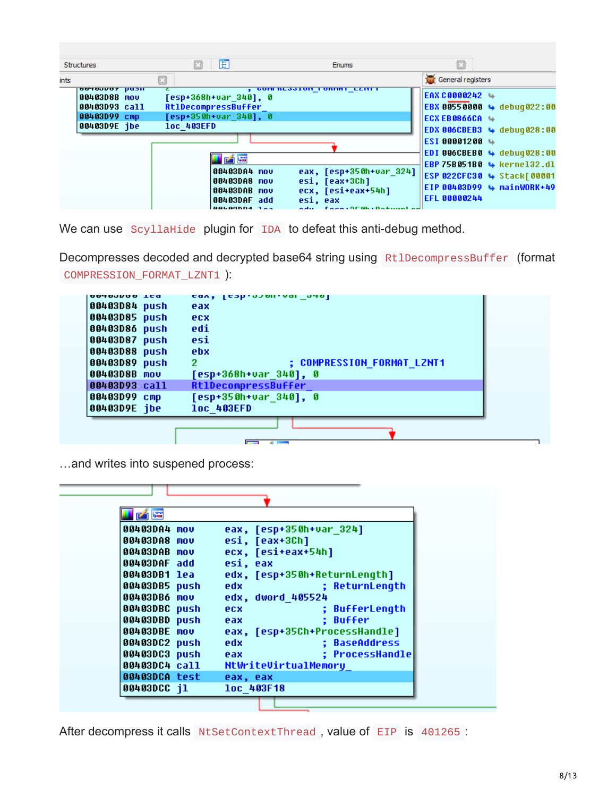| <b>Structures</b>                                                                     | 睚                                                                                                 | <b>Enums</b>                                                                                                 | E                                                                                                                             |
|---------------------------------------------------------------------------------------|---------------------------------------------------------------------------------------------------|--------------------------------------------------------------------------------------------------------------|-------------------------------------------------------------------------------------------------------------------------------|
| ints                                                                                  |                                                                                                   |                                                                                                              | General registers                                                                                                             |
| <b>UUTUJUJI PUSH</b><br>00403D8B mov<br>00403D93 call<br>00403D99 cmp<br>00403D9E jbe | [esp+368h+var 340], 0<br><b>RtlDecompressBuffer</b><br>[esp+350h+var 340], 0<br><b>loc 403EFD</b> | <u>, Guin neastuit funinte eenti</u>                                                                         | <b>EAX C0000242 →</b><br><b>EBX 00550000 → debug022:00</b><br>IECX EB0866CA Le<br>$ EDX 006CBEB3 \leftrightarrow debuq028:00$ |
|                                                                                       | <b>F</b> F                                                                                        |                                                                                                              | ESI 00001200 →<br>EDI 006CBEB0 $\leftrightarrow$ debug028:00<br>EBP 75B051B0 \ kerne132.dl                                    |
|                                                                                       | 00403DA4 mov<br>00403DA8 mov<br>00403DAB mov<br>00403DAF add<br>GALAGDD4 185                      | eax, [esp+350h+var 324]<br>esi, [eax+3Ch]<br>ecx, [esi+eax+54h]<br>esi, eax<br>adu – Facsi 9506 i Datuval ad | <b>ESP 022CFC30 4 Stack[00001</b><br>EIP 00403D99 → mainWORK+49<br><b>EFL 00000244</b>                                        |

We can use ScyllaHide plugin for IDA to defeat this anti-debug method.

Decompresses decoded and decrypted base64 string using RtlDecompressBuffer (format COMPRESSION\_FORMAT\_LZNT1 ):

| nnwnnnnn tca<br>00403D84 push | <u>cav' lcəh.namı.nam nənl</u><br>eax  |
|-------------------------------|----------------------------------------|
| 00403D85 push                 | ecx                                    |
| 00403D86 push                 | edi                                    |
| 00403D87 push                 | esi                                    |
| 00403D88 push                 | ebx                                    |
| 00403D89 push                 | <b>; COMPRESSION FORMAT LZNT1</b><br>2 |
| 00403D8B mov                  | [esp+368h+var_340], 0                  |
| 00403D93 call                 | <b>RtlDecompressBuffer</b>             |
| 00403D99 cmp                  | [esp+350h+var_340], 0                  |
| 00403D9E jbe                  | <b>loc 403EFD</b>                      |
|                               |                                        |
|                               |                                        |

…and writes into suspened process:

| 凶降            |          |                                                                                                                     |                               |
|---------------|----------|---------------------------------------------------------------------------------------------------------------------|-------------------------------|
| 00403DA4 mov  |          | eax, [esp+350h+var 324]                                                                                             |                               |
| 00403DA8 mov  |          | esi, [eax+3Ch]                                                                                                      |                               |
| 00403DAB mov  |          | ecx, [esi+eax+54h]                                                                                                  |                               |
| 00403DAF add  | esi, eax |                                                                                                                     |                               |
| 00403DB1 lea  |          | edx, [esp+350h+ReturnLength]                                                                                        |                               |
| 00403DB5 push |          | <b>edx</b> and a set of the set of the set of the set of the set of the set of the set of the set of the set of the | ; ReturnLength                |
| 00403DB6 mov  |          | edx, dword 405524                                                                                                   |                               |
| 00403DBC push | ecx      |                                                                                                                     | ; BufferLength                |
| 00403DBD push | e ax     |                                                                                                                     | : Buffer                      |
| 00403DBE mov  |          |                                                                                                                     | eax, [esp+35Ch+ProcessHandle] |
| 00403DC2 push | edx      |                                                                                                                     | ; BaseAddress                 |
| 00403DC3 push | eax      |                                                                                                                     | : ProcessHandle               |
| 00403DC4 call |          | NtWriteUirtualMemory                                                                                                |                               |
| 00403DCA test | eax, eax |                                                                                                                     |                               |
| 00403DCC j1   |          | loc 403F18                                                                                                          |                               |

After decompress it calls NtSetContextThread, value of EIP is 401265 :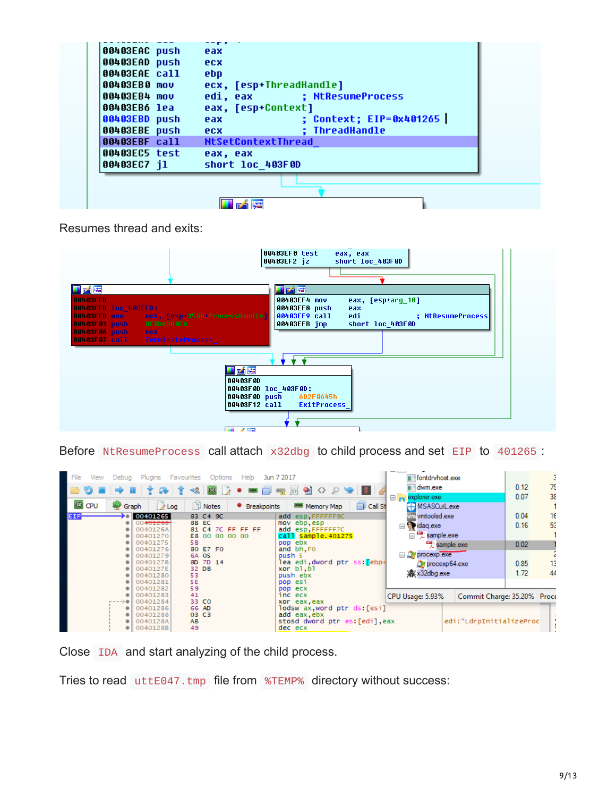| 00403EAC push | eax                            |
|---------------|--------------------------------|
| 00403EAD push | ecx                            |
| 00403EAE call | ebp                            |
| 00403EB0 mov  | ecx, [esp+ThreadHandle]        |
| 00403EB4 mov  | edi, eax ; NtResumeProcess     |
| 00403EB6 lea  | eax, [esp+Context]             |
| 00403EBD push | : Context: EIP=0x401265<br>eax |
| 00403EBE push | ; ThreadHandle<br>ecx          |
| 00403EBF call | NtSetContextThread             |
| 00403EC5 test | eax, eax                       |
| 00403EC7 j1   | short loc 403F0D               |
|               |                                |
|               |                                |
|               |                                |
|               |                                |

Resumes thread and exits:

|                                                                                                                                                                   | 00403EF0 test<br>eax, eax<br>00403EF2 jz<br>short loc 403F0D                                                                                                                                                      |
|-------------------------------------------------------------------------------------------------------------------------------------------------------------------|-------------------------------------------------------------------------------------------------------------------------------------------------------------------------------------------------------------------|
| i k<br>00403EFD                                                                                                                                                   | <b>LIZÉE</b><br>00403EF4 mov<br>eax, [esp+arq 18]                                                                                                                                                                 |
| 00403EFD 10C 403EFD:<br>00403EFD mov<br>ecx, [esp+350h+ProcessHandle]<br>OE ODA38 OEh<br>00403F01 push<br>00403F06 push<br>ecx.<br>00403F07 call TerminateProcess | 00403EF8 push<br>eax<br>00403EF9 call<br>edi in a strategic strategic strategic strategic strategic strategic strategic strategic strategic strategic s<br>; NtResumeProcess <br>00403EFB imp<br>short loc 403F0D |
| i Ke                                                                                                                                                              |                                                                                                                                                                                                                   |
| 00403F0D                                                                                                                                                          | 00403F0D loc 403F0D:<br>00403F0D push 6D2F0645h<br>00403F12 call ExitProcess                                                                                                                                      |
| <b>Ball Allinois</b>                                                                                                                                              |                                                                                                                                                                                                                   |

Before NtResumeProcess call attach x32dbg to child process and set EIP to 401265 :

| File<br>View<br>☜<br>EE CPU | Plugins Favourites<br>Debua<br>$\lambda$ Log<br>Graph                                                                                        | Options<br>Help<br>期<br>⇒黒<br>無思<br><b>Notes</b><br>• Breakpoints                                                    | Jun 7 2017<br>$\circ$ $\bullet$<br>$\leftrightarrow$ $\triangleright$<br>-8<br>$\sum_{i=1}^{n}$<br>$\Box$ Call St<br><b>HHH Memory Map</b>                                                     | fontdryhost.exe<br>dwm.exe<br>explorer.exe<br>$\Xi_{\mathbf{n}}$<br>HMSASCuiL.exe                                                            | 79<br>0.12<br>38<br>0.07                                     |
|-----------------------------|----------------------------------------------------------------------------------------------------------------------------------------------|----------------------------------------------------------------------------------------------------------------------|------------------------------------------------------------------------------------------------------------------------------------------------------------------------------------------------|----------------------------------------------------------------------------------------------------------------------------------------------|--------------------------------------------------------------|
| EIP.                        | 00401265<br>00 <del>401268</del><br>0040126A<br>00401270<br>00401275<br>00401276<br>00401279<br>0040127B<br>0040127E<br>00401280<br>00401281 | 83 C4 9C<br>8B EC<br>81 C4 7C FF FF FF<br>E8 00 00 00 00<br>5B<br>80 E7 F0<br>6A 05<br>8D 7D 14<br>32 DB<br>53<br>5E | add esp.FFFFFF9C<br>mov ebp, esp<br>add esp, FFFFFF7C<br>call sample.401275<br>pop ebx<br>and bh.FO<br>push 5<br>lea edi dword ptr ss: <mark>f</mark> ebp+<br>xor bl.bl<br>push ebx<br>pop esi | vm vmtoolsd.exe<br>idag.exe<br>sample.exe<br>$\frac{124}{2}$ sample exe<br>$\Box$ $Q$ procexp.exe<br>OH procexp64.exe<br><b>业</b> x32dbq.exe | 0.04<br>16<br>53<br>0.16<br>0.02<br>13<br>0.85<br>44<br>1.72 |
|                             | 00401282<br>00401283<br>---->●  <br>00401284<br>00401286<br>00401288<br>0040128A<br>0040128B                                                 | 59<br>41<br>33 CO<br>66 AD<br>03 C3<br>AB<br>49                                                                      | pop ecx<br>inc ecx<br>xor eax, eax<br>lodsw ax word ptr ds:[esi]<br>add eax, ebx<br>stosd dword ptr es: [edi], eax<br>dec ecx                                                                  | CPU Usage: 5.93%<br>edi:"LdrpInitializeProc                                                                                                  | Commit Charge: 35.20% Proce                                  |

Close IDA and start analyzing of the child process.

Tries to read uttE047.tmp file from %TEMP% directory without success: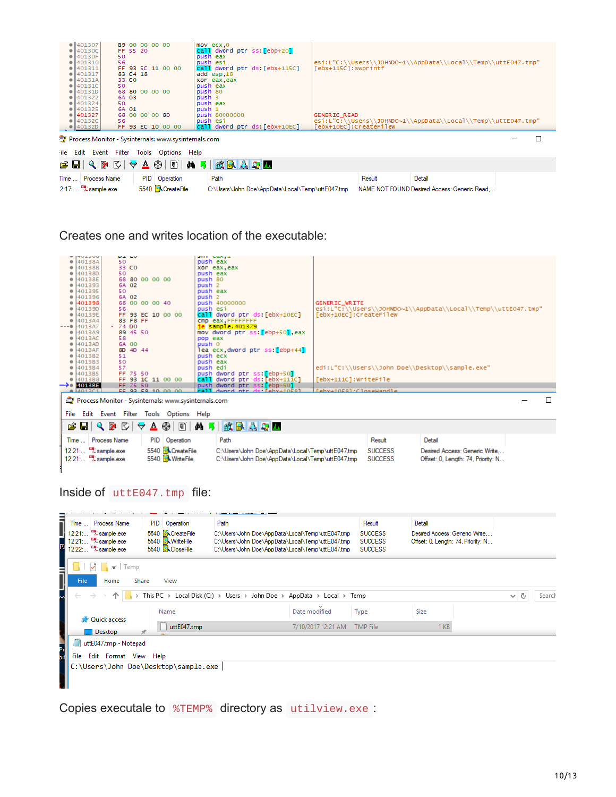|      | 401307<br>$\bullet$ 40130C                                                                                                       |                     | FF 55 20    |  | B9 00 00 00 00    |  | $mov$ $exc, 0$<br>call dword ptr ss: [ebp+20] |                        |        |                                                               |  |
|------|----------------------------------------------------------------------------------------------------------------------------------|---------------------|-------------|--|-------------------|--|-----------------------------------------------|------------------------|--------|---------------------------------------------------------------|--|
|      | 0 40130F<br>• 401310                                                                                                             |                     | 50<br>56    |  |                   |  | push eax<br>push esi                          |                        |        |                                                               |  |
|      | $\bullet$ 401311                                                                                                                 |                     |             |  | FF 93 5C 11 00 00 |  | call dword ptr ds: [ebx+115C]                 | [ebx+115C]:swprintf    |        | esi:L"C:\\Users\\JOHNDO~1\\AppData\\Local\\Temp\\uttE047.tmp" |  |
|      | $\bullet$ 401317                                                                                                                 |                     | 83 C4 18    |  |                   |  | add esp, 18                                   |                        |        |                                                               |  |
|      | $\bullet$ 40131A<br>$\bullet$ 40131C                                                                                             |                     | 33 CO<br>50 |  |                   |  | xor eax, eax<br>push eax                      |                        |        |                                                               |  |
|      | $\bullet$ 40131D                                                                                                                 |                     |             |  | 68 80 00 00 00    |  | push 80                                       |                        |        |                                                               |  |
|      | $\bullet$ 401322                                                                                                                 |                     | 6A 03       |  |                   |  | push 3                                        |                        |        |                                                               |  |
|      | 01401324<br> 401325                                                                                                              |                     | 50<br>6A 01 |  |                   |  | push eax<br>push 1                            |                        |        |                                                               |  |
|      | 0 401327                                                                                                                         |                     |             |  | 68 00 00 00 80    |  | push 80000000                                 | GENERIC_READ           |        |                                                               |  |
|      | 0 40132C<br> 40132D                                                                                                              |                     | 56          |  |                   |  | push esi<br>call dword ptr ds: [ebx+10EC]     | [ebx+10EC]:CreateFileW |        | esi:L"C:\\Users\\JOHNDO~1\\AppData\\Local\\Temp\\uttE047.tmp" |  |
|      | FF 93 EC 10 00 00<br>□<br>Process Monitor - Sysinternals: www.sysinternals.com<br>ile Edit Event Filter<br>Options Help<br>Tools |                     |             |  |                   |  |                                               |                        |        |                                                               |  |
|      | E<br>GHQIRI <del>V</del><br>$\Delta$ $\circledcirc$<br><b>A</b> 5<br>欧县公司工                                                       |                     |             |  |                   |  |                                               |                        |        |                                                               |  |
|      |                                                                                                                                  |                     |             |  |                   |  |                                               |                        |        |                                                               |  |
| Time |                                                                                                                                  | <b>Process Name</b> |             |  | PID Operation     |  | Path                                          |                        | Result | Detail                                                        |  |

Creates one and writes location of the executable:

|      | <b>WITH AND</b>                 | <b>UILU</b>                                                                                                                                                                                                                                                                                                                                         |                   |                        |                         |                   | <b>SHE CHAIL</b>                                  |                        |                |                                                               |   |
|------|---------------------------------|-----------------------------------------------------------------------------------------------------------------------------------------------------------------------------------------------------------------------------------------------------------------------------------------------------------------------------------------------------|-------------------|------------------------|-------------------------|-------------------|---------------------------------------------------|------------------------|----------------|---------------------------------------------------------------|---|
|      | 40138A                          | 50                                                                                                                                                                                                                                                                                                                                                  |                   |                        |                         | push eax          |                                                   |                        |                |                                                               |   |
|      | 40138B                          | 33 CO                                                                                                                                                                                                                                                                                                                                               |                   |                        |                         |                   | xor eax.eax                                       |                        |                |                                                               |   |
|      | 40138D                          | 50                                                                                                                                                                                                                                                                                                                                                  |                   |                        |                         | push eax          |                                                   |                        |                |                                                               |   |
|      | 40138E                          |                                                                                                                                                                                                                                                                                                                                                     | 68 80 00 00 00    |                        |                         | push 80           |                                                   |                        |                |                                                               |   |
|      | 401393                          | 6A 02                                                                                                                                                                                                                                                                                                                                               |                   |                        |                         | push <sub>2</sub> |                                                   |                        |                |                                                               |   |
|      | 401395                          | 50                                                                                                                                                                                                                                                                                                                                                  |                   |                        |                         | push eax          |                                                   |                        |                |                                                               |   |
|      | 401396                          | 6A 02                                                                                                                                                                                                                                                                                                                                               |                   |                        |                         | push <sub>2</sub> |                                                   |                        |                |                                                               |   |
|      | 401398                          |                                                                                                                                                                                                                                                                                                                                                     | 68 00 00 00 40    |                        |                         |                   | push 40000000                                     | <b>GENERIC_WRITE</b>   |                |                                                               |   |
|      | 40139D                          | 56                                                                                                                                                                                                                                                                                                                                                  |                   |                        |                         | push esi          |                                                   |                        |                | esi:L"C:\\Users\\JOHNDO~1\\AppData\\Local\\Temp\\uttE047.tmp" |   |
|      | 40139E                          |                                                                                                                                                                                                                                                                                                                                                     | FF 93 EC 10 00 00 |                        |                         |                   | call dword ptr ds [ebx+10EC]                      | [ebx+10EC]:CreateFileW |                |                                                               |   |
|      | 4013A4                          |                                                                                                                                                                                                                                                                                                                                                     | 83 F8 FF          |                        |                         |                   | cmp eax, FFFFFFFF                                 |                        |                |                                                               |   |
|      | $---@$ 4013A7                   | $~5$ 74 DO                                                                                                                                                                                                                                                                                                                                          |                   |                        |                         |                   | je sample.401379                                  |                        |                |                                                               |   |
|      | 4013A9                          |                                                                                                                                                                                                                                                                                                                                                     | 89 45 50          |                        |                         |                   | mov dword ptr ss: [ebp+50], eax                   |                        |                |                                                               |   |
|      | 4013AC                          | 58                                                                                                                                                                                                                                                                                                                                                  |                   |                        |                         | pop eax           |                                                   |                        |                |                                                               |   |
|      | 4013AD                          | 6A 00                                                                                                                                                                                                                                                                                                                                               |                   |                        |                         | push 0            |                                                   |                        |                |                                                               |   |
|      | 4013AF                          |                                                                                                                                                                                                                                                                                                                                                     | 8D 4D 44          |                        |                         |                   | lea ecx.dword ptr ss: [ebp+44]                    |                        |                |                                                               |   |
|      | 4013B2                          | 51                                                                                                                                                                                                                                                                                                                                                  |                   |                        |                         | push ecx          |                                                   |                        |                |                                                               |   |
|      | 4013B3                          | 50                                                                                                                                                                                                                                                                                                                                                  |                   |                        |                         | push eax          |                                                   |                        |                |                                                               |   |
|      | 401384                          | 57                                                                                                                                                                                                                                                                                                                                                  |                   |                        |                         | push edi          |                                                   |                        |                | edi:L"C:\\Users\\John Doe\\Desktop\\sample.exe"               |   |
|      | 4013B5                          |                                                                                                                                                                                                                                                                                                                                                     | FF 75 50          |                        |                         |                   | push dword ptr ss: ebp+501                        |                        |                |                                                               |   |
|      | 4013B8                          |                                                                                                                                                                                                                                                                                                                                                     | FF 93 1C 11 00 00 |                        |                         |                   | call dword ptr ds: [ebx+111C]                     | [ebx+111C]:WriteFile   |                |                                                               |   |
|      | $\rightarrow$ 401388            |                                                                                                                                                                                                                                                                                                                                                     | FF 75 50          |                        |                         |                   | push dword ptr<br>$\left  \cdot \right $ (ebp+50) |                        |                |                                                               |   |
|      | 0.4013C1                        |                                                                                                                                                                                                                                                                                                                                                     | FF 93 F8 10 00 00 |                        |                         |                   | call dword ntr de laby+10E81                      | Eeby+10E8];CloseHandle |                |                                                               |   |
|      |                                 |                                                                                                                                                                                                                                                                                                                                                     |                   |                        |                         |                   |                                                   |                        |                |                                                               |   |
|      |                                 | Process Monitor - Sysinternals: www.sysinternals.com                                                                                                                                                                                                                                                                                                |                   |                        |                         |                   |                                                   |                        |                |                                                               | П |
|      |                                 |                                                                                                                                                                                                                                                                                                                                                     |                   |                        |                         |                   |                                                   |                        |                |                                                               |   |
| File |                                 | Edit Event Filter Tools Options Help                                                                                                                                                                                                                                                                                                                |                   |                        |                         |                   |                                                   |                        |                |                                                               |   |
|      |                                 | $\begin{picture}(130,10) \put(0,0){\line(1,0){10}} \put(15,0){\line(1,0){10}} \put(15,0){\line(1,0){10}} \put(15,0){\line(1,0){10}} \put(15,0){\line(1,0){10}} \put(15,0){\line(1,0){10}} \put(15,0){\line(1,0){10}} \put(15,0){\line(1,0){10}} \put(15,0){\line(1,0){10}} \put(15,0){\line(1,0){10}} \put(15,0){\line(1,0){10}} \put(15,0){\line($ |                   | $\Delta$ $\circledast$ | $\boxed{2}$             | $M_{\odot}$       | 欧县公司工                                             |                        |                |                                                               |   |
|      | Time                            | <b>Process Name</b>                                                                                                                                                                                                                                                                                                                                 |                   | PID.                   | Operation               |                   | Path                                              |                        | Result         | Detail                                                        |   |
|      | 12:21: <sup>14</sup> sample exe |                                                                                                                                                                                                                                                                                                                                                     |                   |                        | 5540 <b>ACreateFile</b> |                   | C:\Users\John Doe\AppData\Local\Temp\uttE047.tmp  |                        | <b>SUCCESS</b> | Desired Access: Generic Write                                 |   |
|      |                                 |                                                                                                                                                                                                                                                                                                                                                     |                   |                        |                         |                   |                                                   |                        |                |                                                               |   |
|      | 12:21: <sup>17</sup> sample exe |                                                                                                                                                                                                                                                                                                                                                     |                   |                        | 5540 <b>M</b> WriteFile |                   | C:\Users\John Doe\AppData\Local\Temp\uttE047.tmp  |                        | <b>SUCCESS</b> | Offset: 0, Length: 74, Priority: N                            |   |
|      |                                 |                                                                                                                                                                                                                                                                                                                                                     |                   |                        |                         |                   |                                                   |                        |                |                                                               |   |
|      |                                 |                                                                                                                                                                                                                                                                                                                                                     |                   |                        |                         |                   |                                                   |                        |                |                                                               |   |

#### Inside of uttE047.tmp file:

| ā         | Time                          | <b>Process Name</b>                  |  | PID Operation           | Path                                                                    | Result         | Detail                             |     |        |
|-----------|-------------------------------|--------------------------------------|--|-------------------------|-------------------------------------------------------------------------|----------------|------------------------------------|-----|--------|
|           | 12:21                         | sample exe                           |  | 5540 <b>ACreateFile</b> | C:\Users\John Doe\AppData\Local\Temp\uttE047.tmp                        | <b>SUCCESS</b> | Desired Access: Generic Write      |     |        |
|           |                               | $12:21$ $\frac{12}{2}$ sample exe    |  | 5540 Million Write File | C:\Users\John Doe\AppData\Local\Temp\uttE047.tmp                        | <b>SUCCESS</b> | Offset: 0, Length: 74, Priority: N |     |        |
|           |                               | 12:22: <sup>12</sup> sample exe      |  | 5540 <b>ACloseFile</b>  | C:\Users\John Doe\AppData\Local\Temp\uttE047.tmp                        | <b>SUCCESS</b> |                                    |     |        |
|           |                               |                                      |  |                         |                                                                         |                |                                    |     |        |
|           |                               | $\overline{\bullet}$ Temp            |  |                         |                                                                         |                |                                    |     |        |
|           | <b>File</b>                   | Share<br>Home                        |  | View                    |                                                                         |                |                                    |     |        |
|           |                               | $\rightarrow$                        |  |                         | > This PC > Local Disk (C:) > Users > John Doe > AppData > Local > Temp |                |                                    | √ ⊙ | Search |
|           |                               | <b>A</b> Quick access                |  | Name                    | Date modified                                                           | Type           | Size                               |     |        |
|           |                               | Desktop                              |  | uttE047.tmp             | 7/10/2017 12:21 AM                                                      | TMP File       | 1 <sub>KB</sub>                    |     |        |
|           | uttE047.tmp - Notepad         |                                      |  |                         |                                                                         |                |                                    |     |        |
| Pr<br>bil | File<br>Edit Format View Help |                                      |  |                         |                                                                         |                |                                    |     |        |
|           |                               | C:\Users\John Doe\Desktop\sample.exe |  |                         |                                                                         |                |                                    |     |        |

Copies executale to %TEMP% directory as utilview.exe :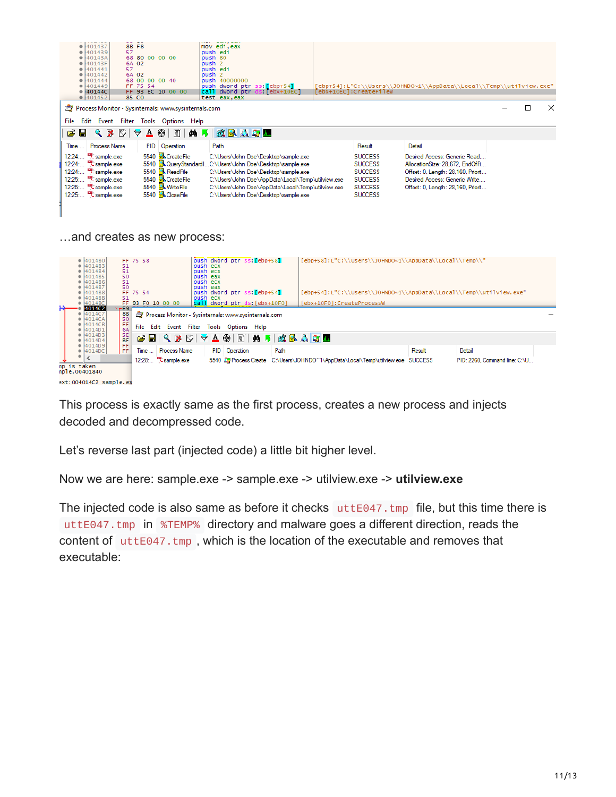| $\bullet$ 401437<br>$\bullet$ 401439<br>40143A<br>40143F<br>401441<br>401442<br>401444<br>401449<br>40144C<br>401452                                                                                                              | <b>8B F8</b><br>57<br>6A 02<br>57<br>6A 02<br>85 CO | FF 75 54 | 68 80 00 00 00<br>68 00 00 00 40<br>FF 93 EC 10 00 00                                                                         | mov edi, eax<br>push edi<br>push 80<br>push <sub>2</sub><br>push edi<br>push <sub>2</sub><br>push 40000000<br>call dword ptr<br>test eax, eax | push dword ptr ss: [ebp+54]                                                                                                                                                                                                                                                                 | <b>is: [ebx+10EC]</b> | [ebx+10EC]:CreateFileW                                                                                   | 'ebp+54]:L"C:\\Users\\JOHNDO~1\\AppData\\Local\\Temp\\utilview.exe"                                                                                                          |   |          |
|-----------------------------------------------------------------------------------------------------------------------------------------------------------------------------------------------------------------------------------|-----------------------------------------------------|----------|-------------------------------------------------------------------------------------------------------------------------------|-----------------------------------------------------------------------------------------------------------------------------------------------|---------------------------------------------------------------------------------------------------------------------------------------------------------------------------------------------------------------------------------------------------------------------------------------------|-----------------------|----------------------------------------------------------------------------------------------------------|------------------------------------------------------------------------------------------------------------------------------------------------------------------------------|---|----------|
| <b>Process Monitor - Sysinternals: www.sysinternals.com</b>                                                                                                                                                                       |                                                     |          |                                                                                                                               |                                                                                                                                               |                                                                                                                                                                                                                                                                                             |                       |                                                                                                          |                                                                                                                                                                              | П | $\times$ |
| File                                                                                                                                                                                                                              |                                                     |          | Edit Event Filter Tools Options Help                                                                                          |                                                                                                                                               |                                                                                                                                                                                                                                                                                             |                       |                                                                                                          |                                                                                                                                                                              |   |          |
| $\begin{array}{c} \mathbb{R} & \mathbb{R} \\ \mathbb{R} & \mathbb{R} \end{array}$<br>10 D<br>芦                                                                                                                                    |                                                     | ₩        | ▲ ④<br>E                                                                                                                      | $\frac{1}{2}$                                                                                                                                 | 欧区公司工                                                                                                                                                                                                                                                                                       |                       |                                                                                                          |                                                                                                                                                                              |   |          |
| Process Name<br><b>Time</b>                                                                                                                                                                                                       |                                                     |          | PID Operation                                                                                                                 | Path                                                                                                                                          |                                                                                                                                                                                                                                                                                             |                       | Result                                                                                                   | Detail                                                                                                                                                                       |   |          |
| $12:24$ $\frac{12}{2}$ sample exe<br>12:24: <sup>Lat</sup> sample exe<br>$12:24$ $\frac{12}{2}$ sample exe<br>12:25: <sup>12</sup> / <sub>-</sub> sample.exe<br>12:25: <sup>Et</sup> sample exe<br>12:25 <sup>13</sup> sample exe |                                                     |          | 5540 <b>ACreateFile</b><br>5540 <b>R</b> ReadFile<br>5540 <b>ACreateFile</b><br>5540 Milk WriteFile<br>5540 <b>KCloseFile</b> |                                                                                                                                               | C:\Users\John Doe\Desktop\sample.exe<br>5540 R&QueryStandardIC:\Users\John Doe\Desktop\sample.exe<br>C:\Users\John Doe\Desktop\sample.exe<br>C:\Users\John Doe\AppData\Local\Temp\utilview.exe<br>C:\Users\John Doe\AppData\Local\Temp\utilview.exe<br>C:\Users\John Doe\Desktop\sample.exe |                       | <b>SUCCESS</b><br><b>SUCCESS</b><br><b>SUCCESS</b><br><b>SUCCESS</b><br><b>SUCCESS</b><br><b>SUCCESS</b> | Desired Access: Generic Read<br>AllocationSize: 28.672. EndOfFi<br>Offset: 0, Length: 28,160, Priorit<br>Desired Access: Generic Write<br>Offset: 0, Length: 28,160, Priorit |   |          |
| and creates as new process:                                                                                                                                                                                                       |                                                     |          |                                                                                                                               |                                                                                                                                               |                                                                                                                                                                                                                                                                                             |                       |                                                                                                          |                                                                                                                                                                              |   |          |
| $\bullet$ 401480<br>• 4014B3<br>$\bullet$ 401484<br>• 4014B5<br>4014B6<br>$\bullet$ 401487                                                                                                                                        | FF 75 58<br>51<br>51<br>50<br>51<br>50              |          |                                                                                                                               | push ecx<br>push ecx<br>push eax<br>push ecx<br>push eax                                                                                      | push dword ptr ss: [ebp+58]                                                                                                                                                                                                                                                                 |                       |                                                                                                          | [ebp+58]:L"C:\\Users\\JOHNDO~1\\AppData\\Local\\Temp\\"                                                                                                                      |   |          |

| $\bullet$ 14014B/<br>50.<br> 4014B8<br>FF 75 54                                   | bush eax<br>[ebp+54]:L"C:\\Users\\JOHNDO~1\\AppData\\Local\\Temp\\utilview.exe"<br>push dword ptr ss: [ebp+54] |                                                                                 |        |                               |  |  |  |
|-----------------------------------------------------------------------------------|----------------------------------------------------------------------------------------------------------------|---------------------------------------------------------------------------------|--------|-------------------------------|--|--|--|
| 4014B<br>51                                                                       |                                                                                                                |                                                                                 |        |                               |  |  |  |
| FF 93 F0 10 00 00<br>$\bullet$ 4014BC                                             | push ecx<br>call dword ptr ds: [ebx+10F0]                                                                      | [ebx+10F0]:CreateProcessW                                                       |        |                               |  |  |  |
| н.<br>4014C2<br>∽⊢E9.<br>88<br>0 4014C7<br>50<br>$\bullet$ 4014CA                 | Process Monitor - Sysinternals: www.sysinternals.com                                                           |                                                                                 |        |                               |  |  |  |
| FF.<br>$\bullet$ 4014CB<br>File<br>6A<br> 4014D1                                  | Edit Event Filter Tools Options Help                                                                           |                                                                                 |        |                               |  |  |  |
| 4014D3 <br>SE.<br> 4014D4 <br>FF.<br> 4014D9                                      | <b>CHQPDVA@EA5&amp;BAD</b>                                                                                     |                                                                                 |        |                               |  |  |  |
| Time<br><b>Process Name</b><br>FF.<br> 4014DC                                     | PID   Operation                                                                                                | Path                                                                            | Result | Detail                        |  |  |  |
| ٠<br>$\overline{\phantom{a}}$<br>$12:28$ $\frac{12}{2}$ sample exe<br>np is taken |                                                                                                                | 5540 & Process Create C:\Users\JOHNDO~1\AppData\Local\Temp\utilview.exe SUCCESS |        | PID: 2260, Command line: C:\U |  |  |  |
| nple.00401840<br>$ext: 004014C2$ sample.ex                                        |                                                                                                                |                                                                                 |        |                               |  |  |  |

This process is exactly same as the first process, creates a new process and injects decoded and decompressed code.

Let's reverse last part (injected code) a little bit higher level.

Now we are here: sample.exe -> sample.exe -> utilview.exe -> **utilview.exe**

The injected code is also same as before it checks  $utte047.tmp$  file, but this time there is uttE047.tmp in %TEMP% directory and malware goes a different direction, reads the content of uttE047.tmp, which is the location of the executable and removes that executable: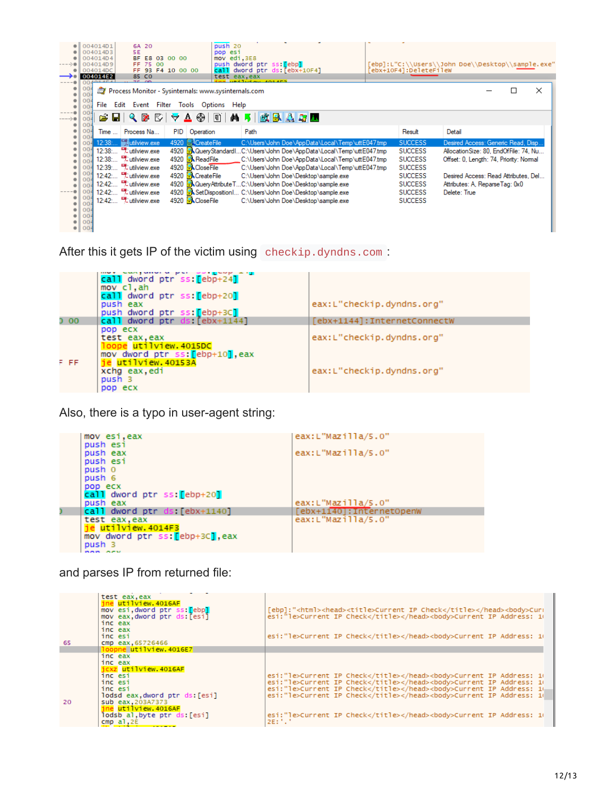|                     | 004014D1<br>6A 20<br>5E<br>004014D3<br><b>BF</b><br>004014D4<br>E8 03 00 00<br>FF.<br>004014D9<br>75 00<br>93 F4 10 00 00<br>004014DC<br>FF.<br>004014E2<br>85 CO<br>mm.                                                                              | push <sub>20</sub><br>pop esi<br>mov edi, 3E8<br>push dword ptr ss: ebpl<br>dword ptr ds: [ebx+10F4]<br>call.<br>test eax.eax                                                                                        | ebx+10F4]:DeleteFileW                                                | [ebp]:L"C:\\Users\\John Doe\\Desktop\\sample.exe"                                                                         |
|---------------------|-------------------------------------------------------------------------------------------------------------------------------------------------------------------------------------------------------------------------------------------------------|----------------------------------------------------------------------------------------------------------------------------------------------------------------------------------------------------------------------|----------------------------------------------------------------------|---------------------------------------------------------------------------------------------------------------------------|
| ۰                   | $\frac{004}{004}$<br>Process Monitor - Sysinternals: www.sysinternals.com<br>$\frac{00}{00}$<br>File<br>Edit Event<br>Filter<br>Tools<br>00 <sub>1</sub>                                                                                              | Options<br>Help                                                                                                                                                                                                      |                                                                      | $\times$                                                                                                                  |
| $---0$<br>۰         | c Hi<br><b>M</b><br>♡<br>❀<br><b>A</b><br>₩<br>Δ<br>00 <sub>4</sub><br>004<br><b>PID</b><br>Time<br>Process Na<br>Operation<br>004<br><b>Watilview</b> exe<br>4920 . CreateFile<br>12:38<br>004                                                       | 改良人身人<br>$\Xi$<br>đА<br>Path<br>C:\Users\John Doe\AppData\Local\Temp\uttE047.tmp                                                                                                                                     | Result<br><b>SUCCESS</b>                                             | Detail<br>Desired Access: Generic Read, Disp                                                                              |
|                     | 004<br>12:38: Fatilview.exe<br>00 <sub>1</sub><br>12:38: BL utilview.exe<br>4920 <b>R</b> ReadFile<br>004<br>4920 <b>ACloseFile</b><br>12:39: <sup>[4]</sup> utilview.exe<br>004<br>004<br>12:42 <sup>B</sup> utilview.exe<br>4920 <b>ACreateFile</b> | 4920 AQueryStandardIC:\Users\John Doe\AppData\Local\Temp\uttE047.tmp<br>C:\Users\John Doe\AppData\Local\Temp\uttE047.tmp<br>C:\Users\John Doe\AppData\Local\Temp\uttE047.tmp<br>C:\Users\John Doe\Desktop\sample.exe | <b>SUCCESS</b><br><b>SUCCESS</b><br><b>SUCCESS</b><br><b>SUCCESS</b> | Allocation Size: 80, EndOfFile: 74, Nu<br>Offset: 0, Length: 74, Priority: Normal<br>Desired Access: Read Attributes, Del |
| ۰                   | 00 <sub>1</sub><br>12:42 <sup>B</sup> utilview.exe<br>004<br>12:42: <sup>12</sup> utilview.exe<br>004<br>$\frac{004}{004}$<br>12:42: BL utilview.exe<br>4920 <b>ACloseFile</b>                                                                        | 4920 AQueryAttributeTC:\Users\John Doe\Desktop\sample.exe<br>4920 A.SetDisposition1 C:\Users\John Doe\Desktop\sample.exe<br>C:\Users\John Doe\Desktop\sample.exe                                                     | <b>SUCCESS</b><br><b>SUCCESS</b><br><b>SUCCESS</b>                   | Attributes: A, ReparseTag: 0x0<br>Delete: True                                                                            |
| ۰<br>$\bullet$<br>۰ | 004<br>004<br>00 <sub>4</sub><br>00 <sub>4</sub>                                                                                                                                                                                                      |                                                                                                                                                                                                                      |                                                                      |                                                                                                                           |

After this it gets IP of the victim using checkip.dyndns.com :

|       | call dword ptr ss: [ebp+24]<br>mov cl.ah<br>call dword ptr ss: [ebp+20]<br>push eax<br>push dword ptr ss: ebp+3C] | eax:L"checkip.dyndns.org"    |
|-------|-------------------------------------------------------------------------------------------------------------------|------------------------------|
| D 00  | call dword ptr ds [ebx+1144]                                                                                      | [ebx+1144]: InternetConnectW |
| F FF. | pop ecx<br>test eax, eax<br>loope utilview.4015DC<br>mov dword ptr ss: [ebp+10], eax<br>je utilview. 40153A       | eax:L"checkip.dyndns.org"    |
|       | xchq eax, edi<br>push 3<br>pop ecx                                                                                | eax:L"checkip.dyndns.org"    |

Also, there is a typo in user-agent string:

| mov esi, eax                    | eax: $L''$ Mazilla/5.0"   |
|---------------------------------|---------------------------|
| push esi<br>push eax            | $eax: L''$ Mazilla/5.0"   |
| push esi                        |                           |
| push 0                          |                           |
| push 6                          |                           |
| pop ecx                         |                           |
| call dword ptr ss: [ebp+20]     |                           |
| push eax                        | $eax: L''$ Mazilla/5.0"   |
| call dword ptr ds: [ebx+1140]   | [ebx+1140]: InternetOpenW |
| test eax.eax                    | eax:L"Mazilla/5.0"        |
| $ie$ utilview. $4014F3$         |                           |
| mov dword ptr ss: [ebp+3C], eax |                           |
| push 3                          |                           |
| <b><i><u>BOB BEM</u></i></b>    |                           |

and parses IP from returned file:

| 65 | test eax, eax<br>jne utilview. 4016AF<br>mov esi dword ptr ss: [ebp]<br>mov eax, dword ptr ds: [esi]<br>inc eax<br>inc eax<br>inc esi<br>cmp eax, 65726466                                             | [ebp]:" <html><head><title>Current_IP_Check</title></head><br/><br/><br/>curr<br/>esi:"le&gt;Current IP Check<body>Current IP Address: 10<br/>esi:"le&gt;Current IP Check<body>Current IP Address: 10</body></body></html>                                                                                                                           |  |
|----|--------------------------------------------------------------------------------------------------------------------------------------------------------------------------------------------------------|------------------------------------------------------------------------------------------------------------------------------------------------------------------------------------------------------------------------------------------------------------------------------------------------------------------------------------------------------|--|
|    | loopne utilview.4016E7                                                                                                                                                                                 |                                                                                                                                                                                                                                                                                                                                                      |  |
| 20 | inc eax<br>inc eax<br>icxz utilview.4016AF<br>inc esi<br>inc esi<br>inc esi<br>lodsd eax, dword ptr ds: [esi]<br>sub eax.203A7373<br>ine utilview.4016AF<br>lodsb al byte ptr ds: [esi]<br>$cmp$ al.2E | esi:"le>Current IP Check <body>Current IP Address: 10<br/>esi:"le&gt;Current IP Check<body>Current IP Address: 10<br/>esi:"le&gt;Current IP Check<body>Current IP Address: 14<br/>esi:"le&gt;Current IP Check<body>Current IP Address: 14<br/>esi:"le&gt;Current IP Check<body>Current IP Address: 10<br/>2E: '.'</body></body></body></body></body> |  |